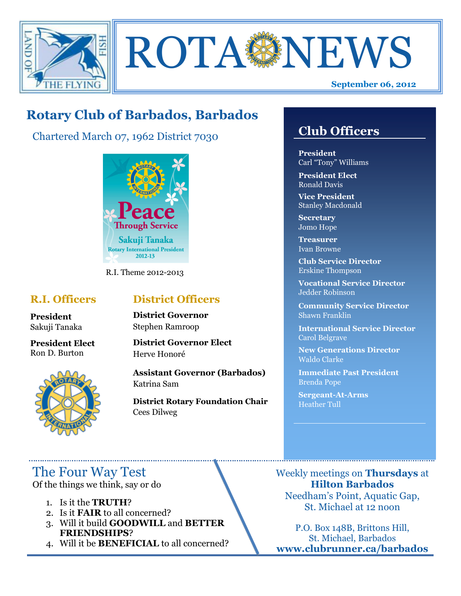

**ROTA NEWS** 

# **Rotary Club of Barbados, Barbados**

Chartered March 07, 1962 District 7030



R.I. Theme 2012-2013

### **R.I. Officers**

**President**  Sakuji Tanaka

**President Elect** Ron D. Burton



### **District Officers**

**District Governor** Stephen Ramroop

**District Governor Elect** Herve Honoré

**Assistant Governor (Barbados)** Katrina Sam

**District Rotary Foundation Chair** Cees Dilweg

# **Club Officers**

**Club Officers** 

**President** Carl "Tony" Williams

**President Elect** Ronald Davis

**Vice President** Stanley Macdonald

**Secretary** Jomo Hope

**Treasurer** Ivan Browne

**Club Service Director** Erskine Thompson

**Vocational Service Director** Jedder Robinson

**Community Service Director** Shawn Franklin

**International Service Director** Carol Belgrave

**New Generations Director** Waldo Clarke

**Immediate Past President** Brenda Pope

**Sergeant-At-Arms** Heather Tull

The Four Way Test

Of the things we think, say or do

- 1. Is it the **TRUTH**?
- 2. Is it **FAIR** to all concerned?
- 3. Will it build **GOODWILL** and **BETTER FRIENDSHIPS**?
- 4. Will it be **BENEFICIAL** to all concerned?

Weekly meetings on **Thursdays** at **Hilton Barbados** Needham's Point, Aquatic Gap, St. Michael at 12 noon

P.O. Box 148B, Brittons Hill, St. Michael, Barbados **www.clubrunner.ca/barbados**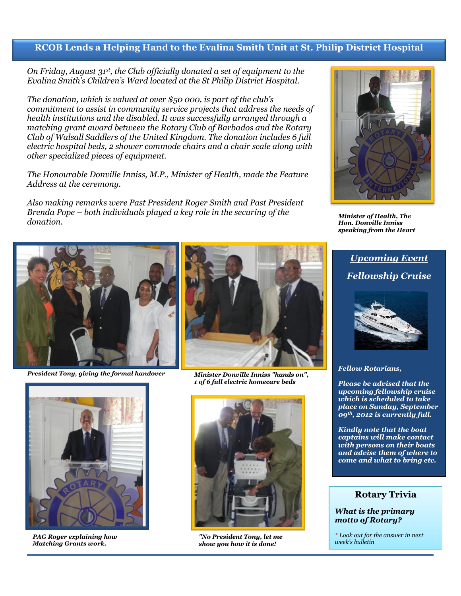### **RCOB Lends a Helping Hand to the Evalina Smith Unit at St. Philip District Hospital**

*On Friday, August 31st, the Club officially donated a set of equipment to the Evalina Smith's Children's Ward located at the St Philip District Hospital.*

*The donation, which is valued at over \$50 000, is part of the club's commitment to assist in community service projects that address the needs of health institutions and the disabled. It was successfully arranged through a matching grant award between the Rotary Club of Barbados and the Rotary Club of Walsall Saddlers of the United Kingdom. The donation includes 6 full electric hospital beds, 2 shower commode chairs and a chair scale along with other specialized pieces of equipment.* 

*The Honourable Donville Inniss, M.P., Minister of Health, made the Feature Address at the ceremony.*

*Also making remarks were Past President Roger Smith and Past President Brenda Pope – both individuals played a key role in the securing of the donation.*



*President Tony, giving the formal handover Minister Donville Inniss "hands on",* 



*PAG Roger explaining how Matching Grants work.*



*1 of 6 full electric homecare beds*



*"No President Tony, let me show you how it is done!*



*Minister of Health, The Hon. Donville Inniss speaking from the Heart*

## *Upcoming Event Fellowship Cruise*



*Fellow Rotarians,*

*Please be advised that the upcoming fellowship cruise which is scheduled to take place on Sunday, September 09th, 2012 is currently full.*

*Kindly note that the boat captains will make contact with persons on their boats and advise them of where to come and what to bring etc.* 

#### **Rotary Trivia**

#### *What is the primary motto of Rotary?*

*\* Look out for the answer in next week's bulletin*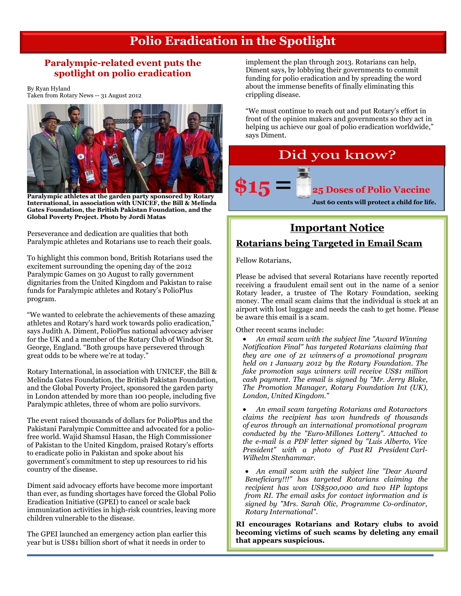## **Polio Eradication in the Spotlight**

### **Paralympic-related event puts the spotlight on polio eradication**

By Ryan Hyland Taken from Rotary News -- 31 August 2012



**Paralympic athletes at the garden party sponsored by Rotary International, in association with UNICEF, the Bill & Melinda Gates Foundation, the British Pakistan Foundation, and the Global Poverty Project. Photo by Jordi Matas**

Perseverance and dedication are qualities that both Paralympic athletes and Rotarians use to reach their goals.

To highlight this common bond, British Rotarians used the excitement surrounding the opening day of the 2012 Paralympic Games on 30 August to rally government dignitaries from the United Kingdom and Pakistan to raise funds for Paralympic athletes and Rotary's PolioPlus program.

"We wanted to celebrate the achievements of these amazing athletes and Rotary's hard work towards polio eradication," says Judith A. Diment, PolioPlus national advocacy adviser for the UK and a member of the Rotary Club of Windsor St. George, England. "Both groups have persevered through great odds to be where we're at today."

Rotary International, in association with UNICEF, the Bill & Melinda Gates Foundation, the British Pakistan Foundation, and the Global Poverty Project, sponsored the garden party in London attended by more than 100 people, including five Paralympic athletes, three of whom are polio survivors.

The event raised thousands of dollars for PolioPlus and the Pakistani Paralympic Committee and advocated for a poliofree world. Wajid Shamsul Hasan, the High Commissioner of Pakistan to the United Kingdom, praised Rotary's efforts to eradicate polio in Pakistan and spoke about his government's commitment to step up resources to rid his country of the disease.

Diment said advocacy efforts have become more important than ever, as funding shortages have forced the [Global Polio](http://www.polioeradication.org/)  [Eradication Initiative](http://www.polioeradication.org/) (GPEI) to cancel or scale back immunization activities in high-risk countries, leaving more children vulnerable to the disease.

The GPEI launched a[n emergency action plan](http://www.polioeradication.org/Portals/0/Document/Resources/StrategyWork/EAP_201205.pdf) earlier this year but is US\$1 billion short of what it needs in order to

implement the plan through 2013. Rotarians can help, Diment says, by lobbying their governments to commit funding for polio eradication and by spreading the word about the immense benefits of finally eliminating this crippling disease.

"We must continue to reach out and put Rotary's effort in front of the opinion makers and governments so they act in helping us achieve our goal of polio eradication worldwide," says Diment.

# Did you know?

# **\$15= 25 Doses of Polio Vaccine**

**Just 60 cents will protect a child for life.**

# **Important Notice**

### **Rotarians being Targeted in Email Scam**

Fellow Rotarians,

Please be advised that several Rotarians have recently reported receiving a fraudulent email sent out in the name of a senior Rotary leader, a trustee of The Rotary Foundation, seeking money. The email scam claims that the individual is stuck at an airport with lost luggage and needs the cash to get home. Please be aware this email is a scam.

Other recent scams include:

 *An email scam with the subject line "Award Winning Notification Final" has targeted Rotarians claiming that they are one of 21 winners of a promotional program held on 1 January 2012 by the Rotary Foundation. The fake promotion says winners will receive US\$1 million cash payment. The email is signed by "Mr. Jerry Blake, The Promotion Manager, Rotary Foundation Int (UK), London, United Kingdom."*

 *An email scam targeting Rotarians and Rotaractors claims the recipient has won hundreds of thousands of euros through an international promotional program conducted by the "Euro-Millones Lottery". Attached to the e-mail is a PDF letter signed by "Luis Alberto, Vice President" with a photo of Past RI President Carl-Wilhelm Stenhammar.*

 *An email scam with the subject line "Dear Award Beneficiary!!!" has targeted Rotarians claiming the recipient has won US\$500,000 and two HP laptops from RI. The email asks for contact information and is signed by "Mrs. Sarah Olic, Programme Co-ordinator, Rotary International".*

**RI encourages Rotarians and Rotary clubs to avoid becoming victims of such scams by deleting any email that appears suspicious.**